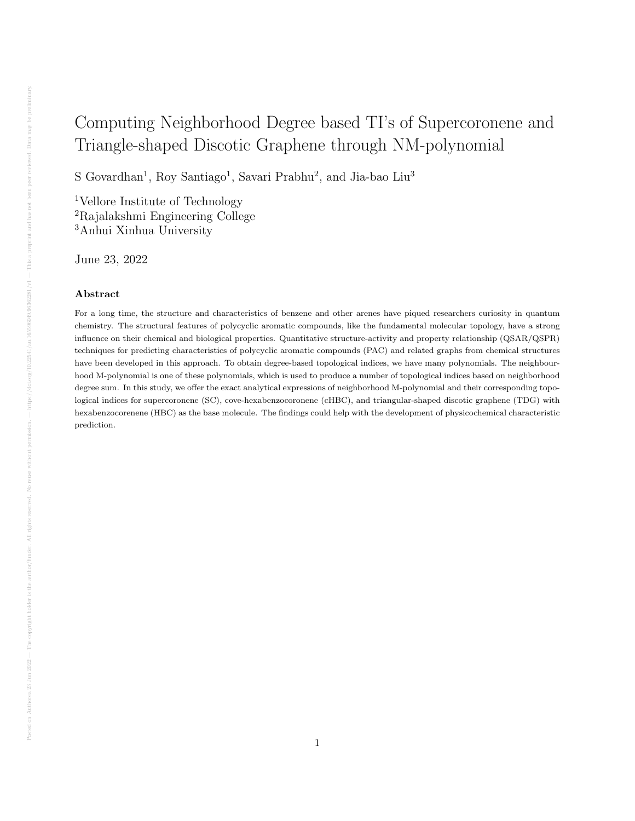# Computing Neighborhood Degree based TI's of Supercoronene and Triangle-shaped Discotic Graphene through NM-polynomial

S Govardhan<sup>1</sup>, Roy Santiago<sup>1</sup>, Savari Prabhu<sup>2</sup>, and Jia-bao Liu<sup>3</sup>

<sup>1</sup>Vellore Institute of Technology <sup>2</sup>Rajalakshmi Engineering College <sup>3</sup>Anhui Xinhua University

June 23, 2022

#### Abstract

For a long time, the structure and characteristics of benzene and other arenes have piqued researchers curiosity in quantum chemistry. The structural features of polycyclic aromatic compounds, like the fundamental molecular topology, have a strong influence on their chemical and biological properties. Quantitative structure-activity and property relationship (QSAR/QSPR) techniques for predicting characteristics of polycyclic aromatic compounds (PAC) and related graphs from chemical structures have been developed in this approach. To obtain degree-based topological indices, we have many polynomials. The neighbourhood M-polynomial is one of these polynomials, which is used to produce a number of topological indices based on neighborhood degree sum. In this study, we offer the exact analytical expressions of neighborhood M-polynomial and their corresponding topological indices for supercoronene (SC), cove-hexabenzocoronene (cHBC), and triangular-shaped discotic graphene (TDG) with hexabenzocorenene (HBC) as the base molecule. The findings could help with the development of physicochemical characteristic prediction.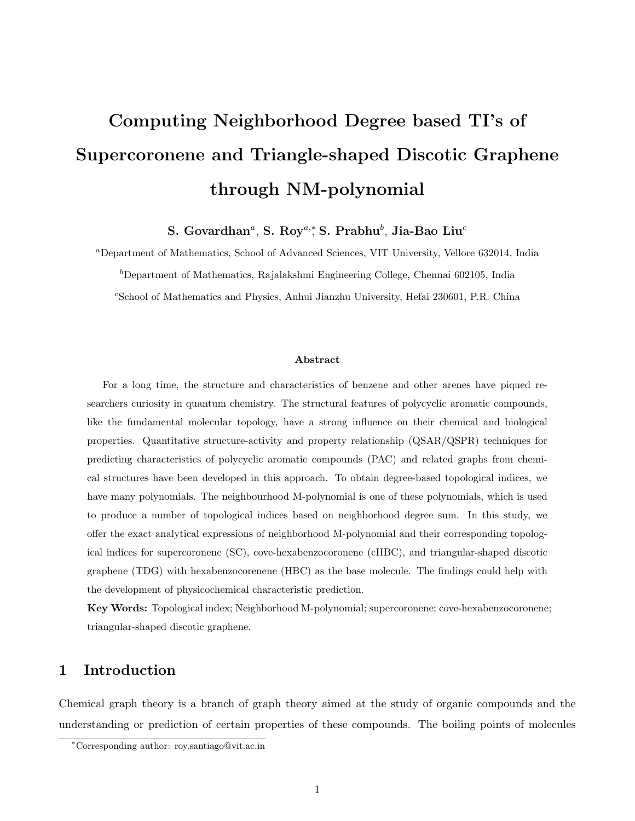# Computing Neighborhood Degree based TI's of Supercoronene and Triangle-shaped Discotic Graphene through NM-polynomial

S. Govardhan $^a$ , S. Roy $^{a,\ast}$ S. Prabhu $^b$ , Jia-Bao Liu $^c$ 

<sup>a</sup>Department of Mathematics, School of Advanced Sciences, VIT University, Vellore 632014, India  $b$ Department of Mathematics, Rajalakshmi Engineering College, Chennai 602105, India <sup>c</sup>School of Mathematics and Physics, Anhui Jianzhu University, Hefai 230601, P.R. China

#### Abstract

For a long time, the structure and characteristics of benzene and other arenes have piqued researchers curiosity in quantum chemistry. The structural features of polycyclic aromatic compounds, like the fundamental molecular topology, have a strong influence on their chemical and biological properties. Quantitative structure-activity and property relationship (QSAR/QSPR) techniques for predicting characteristics of polycyclic aromatic compounds (PAC) and related graphs from chemical structures have been developed in this approach. To obtain degree-based topological indices, we have many polynomials. The neighbourhood M-polynomial is one of these polynomials, which is used to produce a number of topological indices based on neighborhood degree sum. In this study, we offer the exact analytical expressions of neighborhood M-polynomial and their corresponding topological indices for supercoronene (SC), cove-hexabenzocoronene (cHBC), and triangular-shaped discotic graphene (TDG) with hexabenzocorenene (HBC) as the base molecule. The findings could help with the development of physicochemical characteristic prediction.

Key Words: Topological index; Neighborhood M-polynomial; supercoronene; cove-hexabenzocoronene; triangular-shaped discotic graphene.

#### 1 Introduction

Chemical graph theory is a branch of graph theory aimed at the study of organic compounds and the understanding or prediction of certain properties of these compounds. The boiling points of molecules

<sup>∗</sup>Corresponding author: roy.santiago@vit.ac.in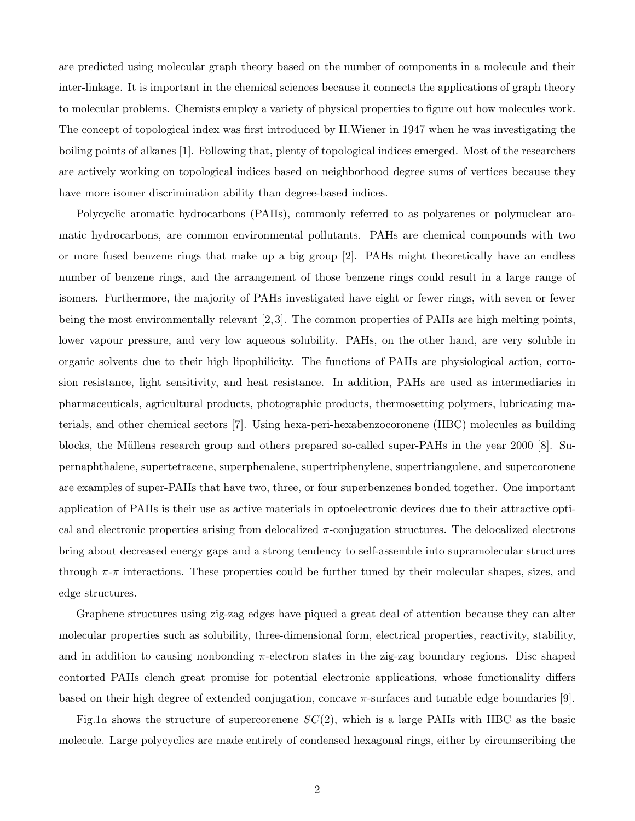are predicted using molecular graph theory based on the number of components in a molecule and their inter-linkage. It is important in the chemical sciences because it connects the applications of graph theory to molecular problems. Chemists employ a variety of physical properties to figure out how molecules work. The concept of topological index was first introduced by H.Wiener in 1947 when he was investigating the boiling points of alkanes [1]. Following that, plenty of topological indices emerged. Most of the researchers are actively working on topological indices based on neighborhood degree sums of vertices because they have more isomer discrimination ability than degree-based indices.

Polycyclic aromatic hydrocarbons (PAHs), commonly referred to as polyarenes or polynuclear aromatic hydrocarbons, are common environmental pollutants. PAHs are chemical compounds with two or more fused benzene rings that make up a big group [2]. PAHs might theoretically have an endless number of benzene rings, and the arrangement of those benzene rings could result in a large range of isomers. Furthermore, the majority of PAHs investigated have eight or fewer rings, with seven or fewer being the most environmentally relevant [2, 3]. The common properties of PAHs are high melting points, lower vapour pressure, and very low aqueous solubility. PAHs, on the other hand, are very soluble in organic solvents due to their high lipophilicity. The functions of PAHs are physiological action, corrosion resistance, light sensitivity, and heat resistance. In addition, PAHs are used as intermediaries in pharmaceuticals, agricultural products, photographic products, thermosetting polymers, lubricating materials, and other chemical sectors [7]. Using hexa-peri-hexabenzocoronene (HBC) molecules as building blocks, the M¨ullens research group and others prepared so-called super-PAHs in the year 2000 [8]. Supernaphthalene, supertetracene, superphenalene, supertriphenylene, supertriangulene, and supercoronene are examples of super-PAHs that have two, three, or four superbenzenes bonded together. One important application of PAHs is their use as active materials in optoelectronic devices due to their attractive optical and electronic properties arising from delocalized  $\pi$ -conjugation structures. The delocalized electrons bring about decreased energy gaps and a strong tendency to self-assemble into supramolecular structures through  $\pi$ -π interactions. These properties could be further tuned by their molecular shapes, sizes, and edge structures.

Graphene structures using zig-zag edges have piqued a great deal of attention because they can alter molecular properties such as solubility, three-dimensional form, electrical properties, reactivity, stability, and in addition to causing nonbonding  $\pi$ -electron states in the zig-zag boundary regions. Disc shaped contorted PAHs clench great promise for potential electronic applications, whose functionality differs based on their high degree of extended conjugation, concave  $\pi$ -surfaces and tunable edge boundaries [9].

Fig.1a shows the structure of supercorenene  $SC(2)$ , which is a large PAHs with HBC as the basic molecule. Large polycyclics are made entirely of condensed hexagonal rings, either by circumscribing the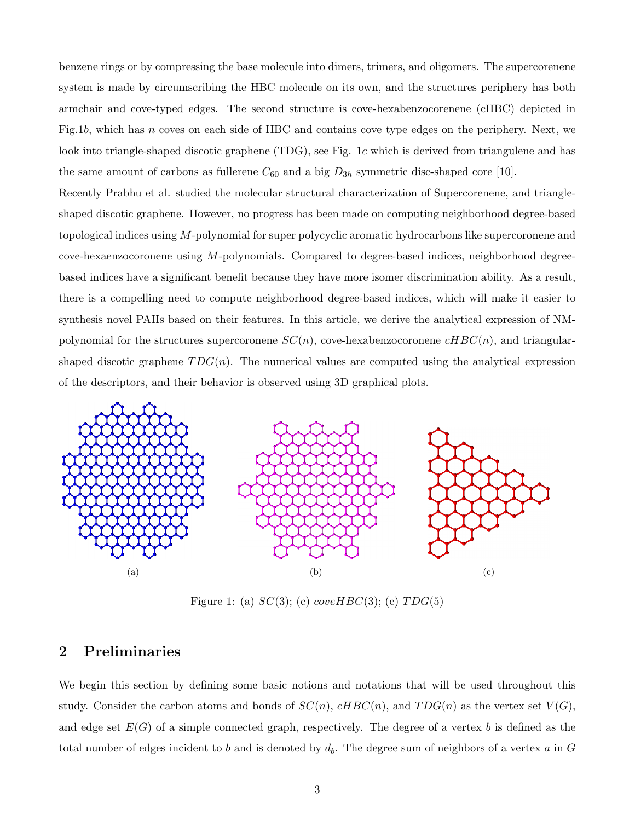benzene rings or by compressing the base molecule into dimers, trimers, and oligomers. The supercorenene system is made by circumscribing the HBC molecule on its own, and the structures periphery has both armchair and cove-typed edges. The second structure is cove-hexabenzocorenene (cHBC) depicted in Fig.1b, which has n coves on each side of HBC and contains cove type edges on the periphery. Next, we look into triangle-shaped discotic graphene (TDG), see Fig. 1c which is derived from triangulene and has the same amount of carbons as fullerene  $C_{60}$  and a big  $D_{3h}$  symmetric disc-shaped core [10].

Recently Prabhu et al. studied the molecular structural characterization of Supercorenene, and triangleshaped discotic graphene. However, no progress has been made on computing neighborhood degree-based topological indices using M-polynomial for super polycyclic aromatic hydrocarbons like supercoronene and  $cove$ -hexaenzocoronene using  $M$ -polynomials. Compared to degree-based indices, neighborhood degreebased indices have a significant benefit because they have more isomer discrimination ability. As a result, there is a compelling need to compute neighborhood degree-based indices, which will make it easier to synthesis novel PAHs based on their features. In this article, we derive the analytical expression of NMpolynomial for the structures supercoronene  $SC(n)$ , cove-hexabenzocoronene  $cHBC(n)$ , and triangularshaped discotic graphene  $TDG(n)$ . The numerical values are computed using the analytical expression of the descriptors, and their behavior is observed using 3D graphical plots.



Figure 1: (a)  $SC(3)$ ; (c)  $coverHBC(3)$ ; (c)  $TDG(5)$ 

## 2 Preliminaries

We begin this section by defining some basic notions and notations that will be used throughout this study. Consider the carbon atoms and bonds of  $SC(n)$ ,  $cHBC(n)$ , and  $TDG(n)$  as the vertex set  $V(G)$ , and edge set  $E(G)$  of a simple connected graph, respectively. The degree of a vertex b is defined as the total number of edges incident to b and is denoted by  $d_b$ . The degree sum of neighbors of a vertex a in G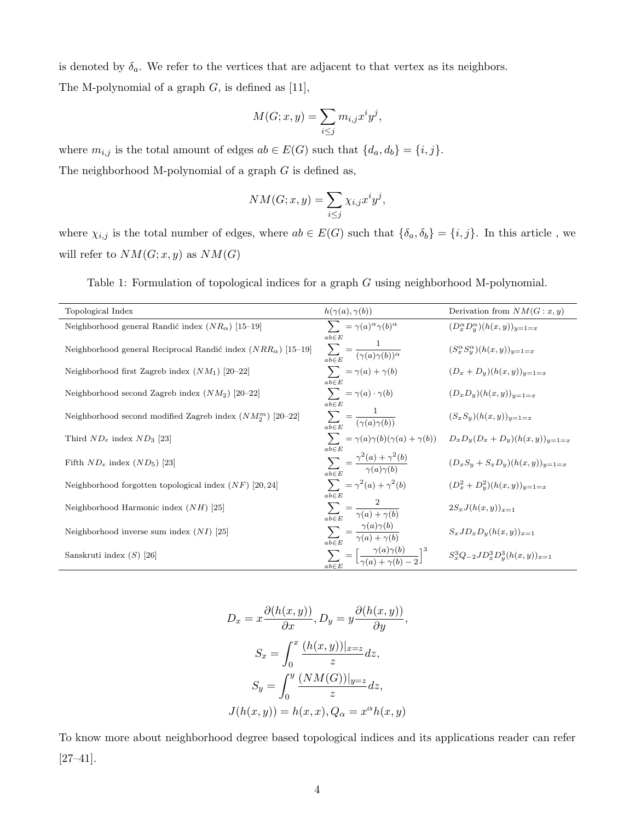is denoted by  $\delta_a$ . We refer to the vertices that are adjacent to that vertex as its neighbors. The M-polynomial of a graph  $G$ , is defined as [11],

$$
M(G; x, y) = \sum_{i \le j} m_{i,j} x^i y^j,
$$

where  $m_{i,j}$  is the total amount of edges  $ab \in E(G)$  such that  $\{d_a, d_b\} = \{i, j\}.$ The neighborhood M-polynomial of a graph  $G$  is defined as,

 $\overline{a}$  $\overline{a}$ 

$$
NM(G; x, y) = \sum_{i \le j} \chi_{i,j} x^i y^j,
$$

where  $\chi_{i,j}$  is the total number of edges, where  $ab \in E(G)$  such that  $\{\delta_a, \delta_b\} = \{i, j\}$ . In this article, we will refer to  $NM(G; x, y)$  as  $NM(G)$ 

| Topological Index                                                     | $h(\gamma(a), \gamma(b))$                                                             | Derivation from $NM(G:x,y)$                                                                           |
|-----------------------------------------------------------------------|---------------------------------------------------------------------------------------|-------------------------------------------------------------------------------------------------------|
| Neighborhood general Randić index $(NR_{\alpha})$ [15-19]             | $\sum_{\alpha} = \gamma(a)^{\alpha} \gamma(b)^{\alpha}$<br>$ab \in E$                 | $(D_x^{\alpha}D_y^{\alpha})(h(x,y))_{y=1=x}$                                                          |
| Neighborhood general Reciprocal Randić index $(NRR_{\alpha})$ [15-19] | $\sum_{ab\in E} = \frac{1}{(\gamma(a)\gamma(b))^\alpha}$                              | $(S_x^{\alpha} S_y^{\alpha}) (h(x,y))_{y=1=x}$                                                        |
| Neighborhood first Zagreb index $(NM_1)$ [20–22]                      | $\sum_{a} = \gamma(a) + \gamma(b)$<br>$ab \in E$                                      | $(D_x + D_y)(h(x, y))_{y=1=x}$                                                                        |
| Neighborhood second Zagreb index $(NM_2)$ [20–22]                     | $\sum_{a} = \gamma(a) \cdot \gamma(b)$<br>$ab \in E$                                  | $(D_xD_y)(h(x,y))_{y=1=x}$                                                                            |
| Neighborhood second modified Zagreb index $(NM_2^m)$ [20–22]          | $\sum_{ab\in E} = \frac{1}{(\gamma(a)\gamma(b))}$                                     | $(S_xS_y)(h(x,y))_{y=1=x}$                                                                            |
| Third $ND_e$ index $ND_3$ [23]                                        | $ab \in E$                                                                            | $\sum_{\alpha} = \gamma(a)\gamma(b)(\gamma(a) + \gamma(b)) \qquad D_xD_y(D_x + D_y)(h(x, y))_{y=1=x}$ |
| Fifth $ND_e$ index $(ND_5)$ [23]                                      | $\sum_{ab \in E} = \frac{\gamma^2(a) + \gamma^2(b)}{\gamma(a)\gamma(b)}$              | $(D_xS_y + S_xD_y)(h(x, y))_{y=1=x}$                                                                  |
| Neighborhood forgotten topological index $(NF)$ [20,24]               | $\sum_{a} = \gamma^2(a) + \gamma^2(b)$<br>$ab \in E$                                  | $(D_x^2 + D_y^2)(h(x, y))_{y=1=x}$                                                                    |
| Neighborhood Harmonic index $(NH)$ [25]                               | $\sum_{b \in E} = \frac{2}{\gamma(a) + \gamma(b)}$                                    | $2S_x J(h(x, y))_{x=1}$                                                                               |
| Neighborhood inverse sum index $(NI)$ [25]                            | $\sum_{ab\in E} = \frac{\gamma(a)\gamma(b)}{\gamma(a)+\gamma(b)}$                     | $S_xJD_xD_y(h(x,y))_{x=1}$                                                                            |
| Sanskruti index $(S)$ [26]                                            | $\sum_{ab \in E} = \left[ \frac{\gamma(a)\gamma(b)}{\gamma(a)+\gamma(b)-2} \right]^3$ | $S_x^3 Q_{-2} J D_x^3 D_y^3 (h(x,y))_{x=1}$                                                           |

Table 1: Formulation of topological indices for a graph G using neighborhood M-polynomial.

$$
D_x = x \frac{\partial(h(x, y))}{\partial x}, D_y = y \frac{\partial(h(x, y))}{\partial y},
$$

$$
S_x = \int_0^x \frac{(h(x, y))|_{x=z}}{z} dz,
$$

$$
S_y = \int_0^y \frac{(NM(G))|_{y=z}}{z} dz,
$$

$$
J(h(x, y)) = h(x, x), Q_\alpha = x^\alpha h(x, y)
$$

To know more about neighborhood degree based topological indices and its applications reader can refer [27–41].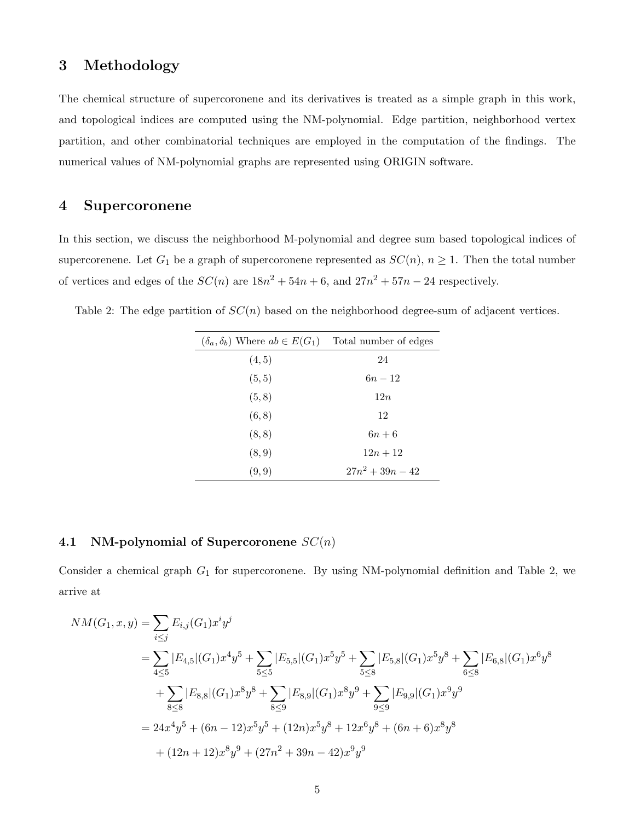## 3 Methodology

The chemical structure of supercoronene and its derivatives is treated as a simple graph in this work, and topological indices are computed using the NM-polynomial. Edge partition, neighborhood vertex partition, and other combinatorial techniques are employed in the computation of the findings. The numerical values of NM-polynomial graphs are represented using ORIGIN software.

#### 4 Supercoronene

In this section, we discuss the neighborhood M-polynomial and degree sum based topological indices of supercorenene. Let  $G_1$  be a graph of supercoronene represented as  $SC(n)$ ,  $n \geq 1$ . Then the total number of vertices and edges of the  $SC(n)$  are  $18n^2 + 54n + 6$ , and  $27n^2 + 57n - 24$  respectively.

Table 2: The edge partition of  $SC(n)$  based on the neighborhood degree-sum of adjacent vertices.

| $(\delta_a, \delta_b)$ Where $ab \in E(G_1)$ Total number of edges |                    |
|--------------------------------------------------------------------|--------------------|
| (4, 5)                                                             | 24                 |
| (5, 5)                                                             | $6n-12$            |
| (5, 8)                                                             | 12n                |
| (6, 8)                                                             | 12                 |
| (8, 8)                                                             | $6n+6$             |
| (8, 9)                                                             | $12n + 12$         |
| (9,9)                                                              | $27n^2 + 39n - 42$ |
|                                                                    |                    |

#### 4.1 NM-polynomial of Supercoronene  $SC(n)$

Consider a chemical graph  $G_1$  for supercoronene. By using NM-polynomial definition and Table 2, we arrive at

$$
NM(G_1, x, y) = \sum_{i \leq j} E_{i,j}(G_1) x^i y^j
$$
  
=  $\sum_{4 \leq 5} |E_{4,5}|(G_1) x^4 y^5 + \sum_{5 \leq 5} |E_{5,5}|(G_1) x^5 y^5 + \sum_{5 \leq 8} |E_{5,8}|(G_1) x^5 y^8 + \sum_{6 \leq 8} |E_{6,8}|(G_1) x^6 y^8$   
+  $\sum_{8 \leq 8} |E_{8,8}|(G_1) x^8 y^8 + \sum_{8 \leq 9} |E_{8,9}|(G_1) x^8 y^9 + \sum_{9 \leq 9} |E_{9,9}|(G_1) x^9 y^9$   
=  $24x^4 y^5 + (6n - 12)x^5 y^5 + (12n)x^5 y^8 + 12x^6 y^8 + (6n + 6)x^8 y^8$   
+  $(12n + 12)x^8 y^9 + (27n^2 + 39n - 42)x^9 y^9$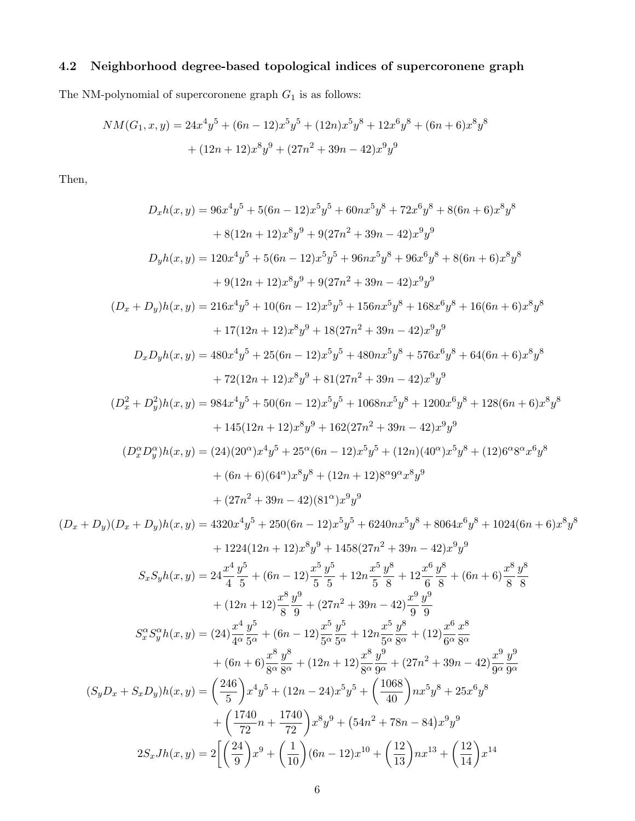### 4.2 Neighborhood degree-based topological indices of supercoronene graph

The NM-polynomial of supercoronene graph  ${\cal G}_1$  is as follows:

$$
NM(G_1, x, y) = 24x^4y^5 + (6n - 12)x^5y^5 + (12n)x^5y^8 + 12x^6y^8 + (6n + 6)x^8y^8
$$

$$
+ (12n + 12)x^8y^9 + (27n^2 + 39n - 42)x^9y^9
$$

Then,

$$
D_xh(x,y) = 96x^4y^5 + 5(6n - 12)x^5y^5 + 60nx^5y^8 + 72x^6y^8 + 8(6n + 6)x^8y^8
$$
  
+ 8(12n + 12)x^8y^9 + 9(27n^2 + 39n - 42)x^9y^9  

$$
D_yh(x,y) = 120x^4y^5 + 5(6n - 12)x^5y^5 + 96nx^5y^8 + 96x^6y^8 + 8(6n + 6)x^8y^8
$$
  
+ 9(12n + 12)x^8y^9 + 9(27n^2 + 39n - 42)x^9y^9  
(D<sub>x</sub> + D<sub>y</sub>)h(x, y) = 216x^4y^5 + 10(6n - 12)x^5y^5 + 156nx^5y^8 + 168x^6y^8 + 16(6n + 6)x^8y^8  
+ 17(12n + 12)x^8y^9 + 18(27n^2 + 39n - 42)x^9y^9  
D<sub>x</sub>D<sub>y</sub>h(x, y) = 480x^4y^5 + 25(6n - 12)x^5y^5 + 480nx^5y^8 + 576x^6y^8 + 64(6n + 6)x^8y^8  
+ 72(12n + 12)x^8y^9 + 81(27n^2 + 39n - 42)x^9y^9  
(D<sub>x</sub><sup>2</sup> + D<sub>y</sub><sup>2</sup>)h(x, y) = 984x^4y^5 + 50(6n - 12)x^5y^5 + 1068nx^5y^8 + 1200x^6y^8 + 128(6n + 6)x^8y^8  
+ 145(12n + 12)x^8y^9 + 162(27n^2 + 39n - 42)x^9y^9  
(D<sub>x</sub><sup>2</sup> + D<sub>y</sub><sup>2</sup>)h(x, y) = (24)(20°)x^4y^5 + 25<sup>6</sup>(6n - 12)x^5y^5 + (12n)(40°)x^5y^8 + (12)(6n + 6)x^8y^8  
+ (6n + 6)(64°

$$
+ (6n+6)\frac{x^8}{8^\alpha}\frac{y^8}{8^\alpha} + (12n+12)\frac{x^8}{8^\alpha}\frac{y^9}{9^\alpha} + (27n^2+39n-42)\frac{x^9}{9^\alpha}\frac{y^9}{9^\alpha}
$$

$$
(S_yD_x + S_xD_y)h(x,y) = \left(\frac{246}{5}\right)x^4y^5 + (12n-24)x^5y^5 + \left(\frac{1068}{40}\right)nx^5y^8 + 25x^6y^8
$$

$$
+ \left(\frac{1740}{72}n + \frac{1740}{72}\right)x^8y^9 + (54n^2+78n-84)x^9y^9
$$

$$
2S_xJh(x,y) = 2\left[\left(\frac{24}{9}\right)x^9 + \left(\frac{1}{10}\right)(6n-12)x^{10} + \left(\frac{12}{13}\right)nx^{13} + \left(\frac{12}{14}\right)x^{14}\right]
$$

 $y^8$ 

 $4^\alpha$ 

 $+ (6n + 6)\frac{x^8}{200}$ 

 $5^\alpha$ 

 $5^\alpha$ 

 $y^9$ 

 $6^\alpha$ 

 $8^\alpha$ 

 $y^9$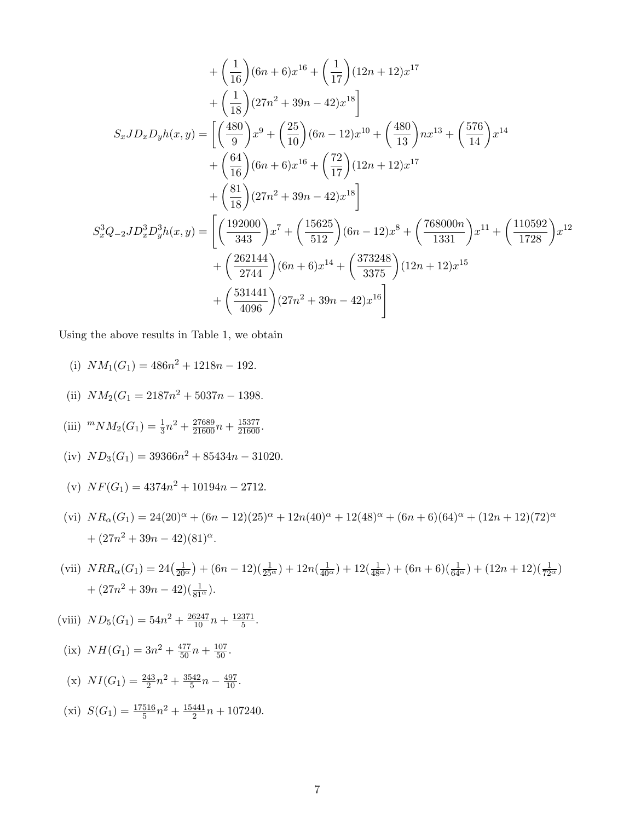$$
+\left(\frac{1}{16}\right)(6n+6)x^{16} + \left(\frac{1}{17}\right)(12n+12)x^{17} \n+\left(\frac{1}{18}\right)(27n^2+39n-42)x^{18}\n\Bigg] \nS_xJD_xD_yh(x,y) = \left[\left(\frac{480}{9}\right)x^9 + \left(\frac{25}{10}\right)(6n-12)x^{10} + \left(\frac{480}{13}\right)nx^{13} + \left(\frac{576}{14}\right)x^{14} \n+\left(\frac{64}{16}\right)(6n+6)x^{16} + \left(\frac{72}{17}\right)(12n+12)x^{17} \n+\left(\frac{81}{18}\right)(27n^2+39n-42)x^{18}\right]\nS_x^3Q_{-2}JD_x^3D_y^3h(x,y) = \left[\left(\frac{192000}{343}\right)x^7 + \left(\frac{15625}{512}\right)(6n-12)x^8 + \left(\frac{768000n}{1331}\right)x^{11} + \left(\frac{110592}{1728}\right)x^{12} \n+\left(\frac{262144}{2744}\right)(6n+6)x^{14} + \left(\frac{373248}{3375}\right)(12n+12)x^{15} \n+\left(\frac{531441}{4096}\right)(27n^2+39n-42)x^{16}\right]
$$

Using the above results in Table 1, we obtain

- (i)  $NM_1(G_1) = 486n^2 + 1218n 192.$
- (ii)  $NM_2(G_1 = 2187n^2 + 5037n 1398.$
- (iii)  $^{m}NM_2(G_1) = \frac{1}{3}n^2 + \frac{27689}{21600}n + \frac{15377}{21600}$ .
- (iv)  $ND_3(G_1) = 39366n^2 + 85434n 31020.$
- (v)  $NF(G_1) = 4374n^2 + 10194n 2712.$
- (vi)  $NR_{\alpha}(G_1) = 24(20)^{\alpha} + (6n 12)(25)^{\alpha} + 12n(40)^{\alpha} + 12(48)^{\alpha} + (6n + 6)(64)^{\alpha} + (12n + 12)(72)^{\alpha}$  $+ (27n^2 + 39n - 42)(81)^{\alpha}.$
- (vii)  $NRR_{\alpha}(G_1) = 24(\frac{1}{20^{\alpha}}) + (6n 12)(\frac{1}{25^{\alpha}}) + 12n(\frac{1}{40^{\alpha}}) + 12(\frac{1}{48^{\alpha}}) + (6n + 6)(\frac{1}{64^{\alpha}}) + (12n + 12)(\frac{1}{72^{\alpha}})$  $+ (27n^2 + 39n - 42)(\frac{1}{81^{\alpha}}).$
- (viii)  $ND_5(G_1) = 54n^2 + \frac{26247}{10}n + \frac{12371}{5}$  $rac{371}{5}$ .
- (ix)  $NH(G_1) = 3n^2 + \frac{477}{50}n + \frac{107}{50}$ .
- (x)  $NI(G_1) = \frac{243}{2}n^2 + \frac{3542}{5}$  $\frac{542}{5}n - \frac{497}{10}$ .
- (xi)  $S(G_1) = \frac{17516}{5}n^2 + \frac{15441}{2}$  $\frac{441}{2}n + 107240.$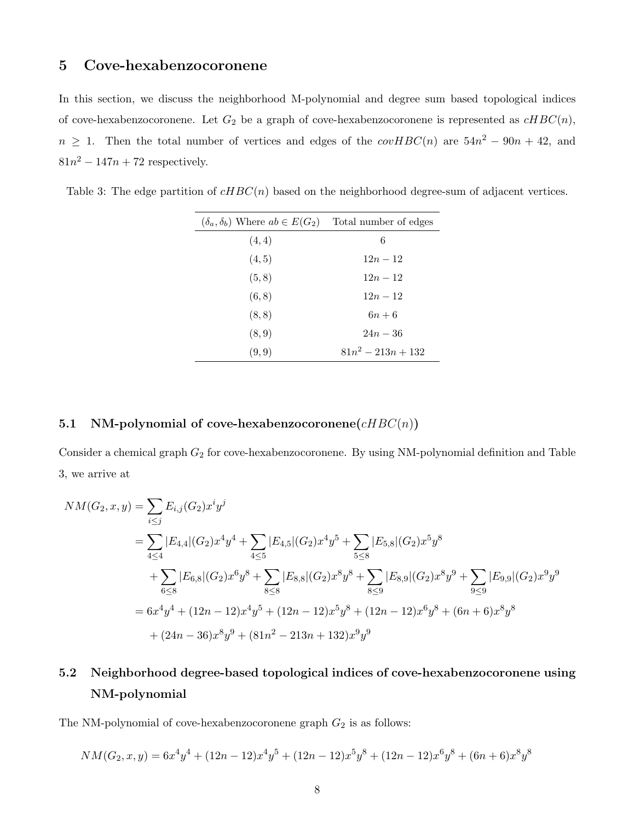## 5 Cove-hexabenzocoronene

In this section, we discuss the neighborhood M-polynomial and degree sum based topological indices of cove-hexabenzocoronene. Let  $G_2$  be a graph of cove-hexabenzocoronene is represented as  $cHBC(n)$ ,  $n \geq 1$ . Then the total number of vertices and edges of the  $covHBC(n)$  are  $54n^2 - 90n + 42$ , and  $81n^2 - 147n + 72$  respectively.

Table 3: The edge partition of  $cHBC(n)$  based on the neighborhood degree-sum of adjacent vertices.

| $(\delta_a, \delta_b)$ Where $ab \in E(G_2)$ Total number of edges |                      |
|--------------------------------------------------------------------|----------------------|
| (4,4)                                                              | 6                    |
| (4, 5)                                                             | $12n - 12$           |
| (5, 8)                                                             | $12n - 12$           |
| (6, 8)                                                             | $12n - 12$           |
| (8, 8)                                                             | $6n+6$               |
| (8, 9)                                                             | $24n - 36$           |
| (9, 9)                                                             | $81n^2 - 213n + 132$ |

#### 5.1 NM-polynomial of cove-hexabenzocoronene $(cHBC(n))$

Consider a chemical graph  $G_2$  for cove-hexabenzocoronene. By using NM-polynomial definition and Table 3, we arrive at

$$
NM(G_2, x, y) = \sum_{i \leq j} E_{i,j}(G_2) x^i y^j
$$
  
=  $\sum_{4 \leq 4} |E_{4,4}| (G_2) x^4 y^4 + \sum_{4 \leq 5} |E_{4,5}| (G_2) x^4 y^5 + \sum_{5 \leq 8} |E_{5,8}| (G_2) x^5 y^8$   
+  $\sum_{6 \leq 8} |E_{6,8}| (G_2) x^6 y^8 + \sum_{8 \leq 8} |E_{8,8}| (G_2) x^8 y^8 + \sum_{8 \leq 9} |E_{8,9}| (G_2) x^8 y^9 + \sum_{9 \leq 9} |E_{9,9}| (G_2) x^9 y^9$   
=  $6x^4 y^4 + (12n - 12)x^4 y^5 + (12n - 12)x^5 y^8 + (12n - 12)x^6 y^8 + (6n + 6)x^8 y^8$   
+  $(24n - 36)x^8 y^9 + (81n^2 - 213n + 132)x^9 y^9$ 

## 5.2 Neighborhood degree-based topological indices of cove-hexabenzocoronene using NM-polynomial

The NM-polynomial of cove-hexabenzocoronene graph  $G_2$  is as follows:

$$
NM(G_2, x, y) = 6x^4y^4 + (12n - 12)x^4y^5 + (12n - 12)x^5y^8 + (12n - 12)x^6y^8 + (6n + 6)x^8y^8
$$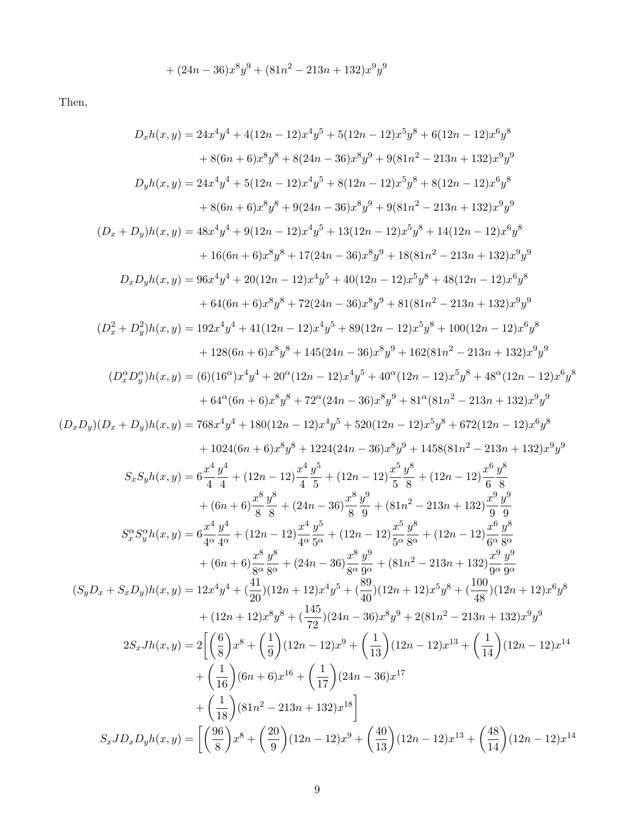$$
+ (24n - 36)x^8y^9 + (81n^2 - 213n + 132)x^9y^9
$$

Then,

$$
D_xh(x,y) = 24x^4y^4 + 4(12n - 12)x^4y^5 + 5(12n - 12)x^5y^8 + 6(12n - 12)x^6y^8
$$
  
+ 8(6n + 6)x<sup>8</sup>y<sup>8</sup> + 8(24n - 36)x<sup>8</sup>y<sup>9</sup> + 9(81n<sup>2</sup> - 213n + 132)x<sup>9</sup>y<sup>9</sup>  

$$
D_yh(x,y) = 24x^4y^4 + 5(12n - 12)x^4y^5 + 8(12n - 12)x^6y^8 + 8(12n - 12)x^6y^8
$$
  
+ 8(6n + 6)x<sup>8</sup>y<sup>8</sup> + 9(24n - 36)x<sup>8</sup>y<sup>9</sup> + 9(81n<sup>2</sup> - 213n + 132)x<sup>9</sup>y<sup>9</sup>  
+ 8(6n + 6)x<sup>8</sup>y<sup>8</sup> + 17(24n - 36)x<sup>8</sup>y<sup>9</sup> + 9(81n<sup>2</sup> - 213n + 132)x<sup>9</sup>y<sup>9</sup>  
+ 16(6n + 6)x<sup>8</sup>y<sup>8</sup> + 17(24n - 36)x<sup>8</sup>y<sup>9</sup> + 18(81n<sup>2</sup> - 213n + 132)x<sup>9</sup>y<sup>9</sup>  

$$
D_xD_yh(x,y) = 96x^4y^4 + 20(12n - 12)x^4y^5 + 43(12n - 12)x^5y^8 + 14(12n - 12)x^6y^8
$$
  
+ 64(6n + 6)x<sup>8</sup>y<sup>8</sup> + 17(24n - 36)x<sup>8</sup>y<sup>9</sup> + 81(81n<sup>2</sup> - 213n + 132)x<sup>9</sup>y<sup>9</sup>  
+ 64(6n + 6)x<sup>8</sup>y<sup>8</sup> + 14(12n - 12)x<sup>4</sup>y<sup>5</sup> + 89(12n - 212)x<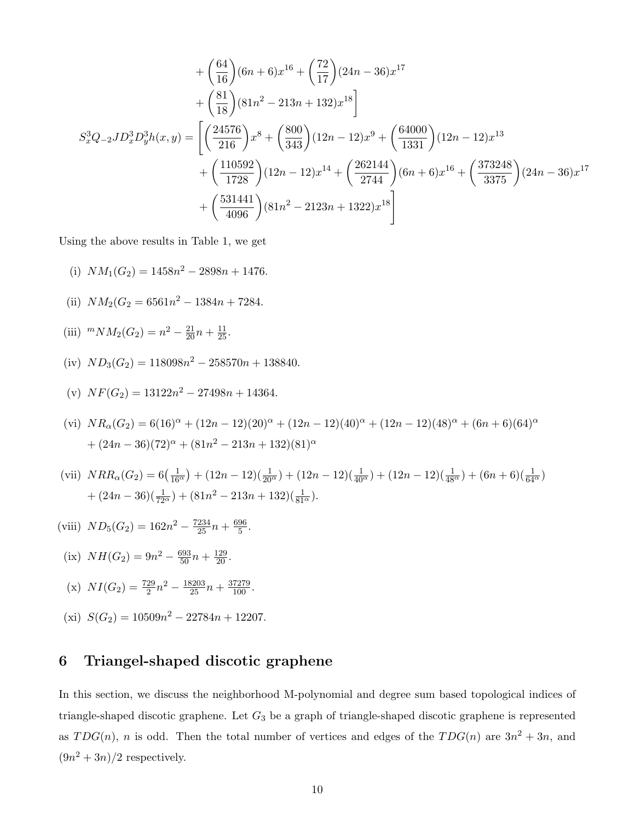$$
+\left(\frac{64}{16}\right)(6n+6)x^{16}+\left(\frac{72}{17}\right)(24n-36)x^{17} +\left(\frac{81}{18}\right)(81n^2-213n+132)x^{18}\bigg] S_x^3Q_{-2}JD_x^3D_y^3h(x,y) = \left[\left(\frac{24576}{216}\right)x^8+\left(\frac{800}{343}\right)(12n-12)x^9+\left(\frac{64000}{1331}\right)(12n-12)x^{13} +\left(\frac{110592}{1728}\right)(12n-12)x^{14}+\left(\frac{262144}{2744}\right)(6n+6)x^{16}+\left(\frac{373248}{3375}\right)(24n-36)x^{17} +\left(\frac{531441}{4096}\right)(81n^2-2123n+1322)x^{18}\right]
$$

Using the above results in Table 1, we get

- (i)  $NM_1(G_2) = 1458n^2 2898n + 1476.$
- (ii)  $NM_2(G_2 = 6561n^2 1384n + 7284.$
- (iii)  $^{m}NM_2(G_2) = n^2 \frac{21}{20}n + \frac{11}{25}$ .
- (iv)  $ND_3(G_2) = 118098n^2 258570n + 138840.$
- (v)  $NF(G_2) = 13122n^2 27498n + 14364.$
- (vi)  $NR_{\alpha}(G_2) = 6(16)^{\alpha} + (12n 12)(20)^{\alpha} + (12n 12)(40)^{\alpha} + (12n 12)(48)^{\alpha} + (6n + 6)(64)^{\alpha}$  $+(24n-36)(72)^{\alpha}+(81n^2-213n+132)(81)^{\alpha}$
- (vii)  $NRR_{\alpha}(G_2) = 6(\frac{1}{16^{\alpha}}) + (12n 12)(\frac{1}{20^{\alpha}}) + (12n 12)(\frac{1}{40^{\alpha}}) + (12n 12)(\frac{1}{48^{\alpha}}) + (6n + 6)(\frac{1}{64^{\alpha}})$  $+ (24n - 36)(\frac{1}{72^{\alpha}}) + (81n^2 - 213n + 132)(\frac{1}{81^{\alpha}}).$
- (viii)  $ND_5(G_2) = 162n^2 \frac{7234}{25}n + \frac{696}{5}$  $\frac{96}{5}$ .
- (ix)  $NH(G_2) = 9n^2 \frac{693}{50}n + \frac{129}{20}$ .

(x) 
$$
NI(G_2) = \frac{729}{2}n^2 - \frac{18203}{25}n + \frac{37279}{100}.
$$

(xi)  $S(G_2) = 10509n^2 - 22784n + 12207.$ 

#### 6 Triangel-shaped discotic graphene

In this section, we discuss the neighborhood M-polynomial and degree sum based topological indices of triangle-shaped discotic graphene. Let  $G_3$  be a graph of triangle-shaped discotic graphene is represented as  $TDG(n)$ , n is odd. Then the total number of vertices and edges of the  $TDG(n)$  are  $3n^2 + 3n$ , and  $(9n^2+3n)/2$  respectively.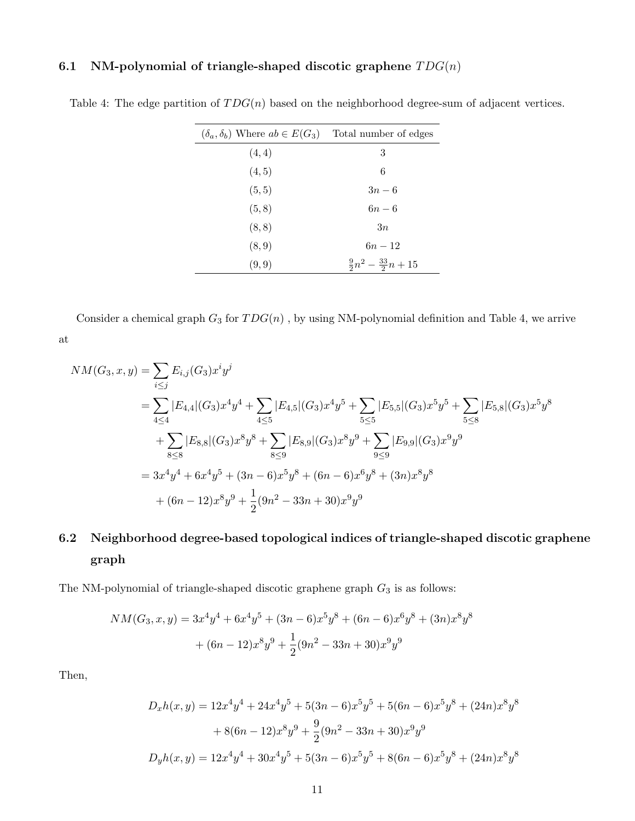#### 6.1 NM-polynomial of triangle-shaped discotic graphene  $TDG(n)$

| $(\delta_a, \delta_b)$ Where $ab \in E(G_3)$ Total number of edges |                                       |
|--------------------------------------------------------------------|---------------------------------------|
| (4, 4)                                                             | 3                                     |
| (4, 5)                                                             | 6                                     |
| (5, 5)                                                             | $3n-6$                                |
| (5, 8)                                                             | $6n-6$                                |
| (8, 8)                                                             | 3n                                    |
| (8, 9)                                                             | $6n - 12$                             |
| (9,9)                                                              | $\frac{9}{2}n^2 - \frac{33}{2}n + 15$ |
|                                                                    |                                       |

Table 4: The edge partition of  $TDG(n)$  based on the neighborhood degree-sum of adjacent vertices.

Consider a chemical graph  $G_3$  for  $TDG(n)$ , by using NM-polynomial definition and Table 4, we arrive at

$$
NM(G_3, x, y) = \sum_{i \leq j} E_{i,j}(G_3) x^i y^j
$$
  
= 
$$
\sum_{4 \leq 4} |E_{4,4}|(G_3) x^4 y^4 + \sum_{4 \leq 5} |E_{4,5}|(G_3) x^4 y^5 + \sum_{5 \leq 5} |E_{5,5}|(G_3) x^5 y^5 + \sum_{5 \leq 8} |E_{5,8}|(G_3) x^5 y^8
$$
  
+ 
$$
\sum_{8 \leq 8} |E_{8,8}|(G_3) x^8 y^8 + \sum_{8 \leq 9} |E_{8,9}|(G_3) x^8 y^9 + \sum_{9 \leq 9} |E_{9,9}|(G_3) x^9 y^9
$$
  
= 
$$
3x^4 y^4 + 6x^4 y^5 + (3n - 6)x^5 y^8 + (6n - 6)x^6 y^8 + (3n)x^8 y^8
$$
  
+ 
$$
(6n - 12)x^8 y^9 + \frac{1}{2}(9n^2 - 33n + 30)x^9 y^9
$$

# 6.2 Neighborhood degree-based topological indices of triangle-shaped discotic graphene graph

The NM-polynomial of triangle-shaped discotic graphene graph  $G_3$  is as follows:

$$
NM(G_3, x, y) = 3x^4y^4 + 6x^4y^5 + (3n - 6)x^5y^8 + (6n - 6)x^6y^8 + (3n)x^8y^8
$$

$$
+ (6n - 12)x^8y^9 + \frac{1}{2}(9n^2 - 33n + 30)x^9y^9
$$

Then,

$$
D_xh(x,y) = 12x^4y^4 + 24x^4y^5 + 5(3n - 6)x^5y^5 + 5(6n - 6)x^5y^8 + (24n)x^8y^8
$$

$$
+ 8(6n - 12)x^8y^9 + \frac{9}{2}(9n^2 - 33n + 30)x^9y^9
$$

$$
D_yh(x,y) = 12x^4y^4 + 30x^4y^5 + 5(3n - 6)x^5y^5 + 8(6n - 6)x^5y^8 + (24n)x^8y^8
$$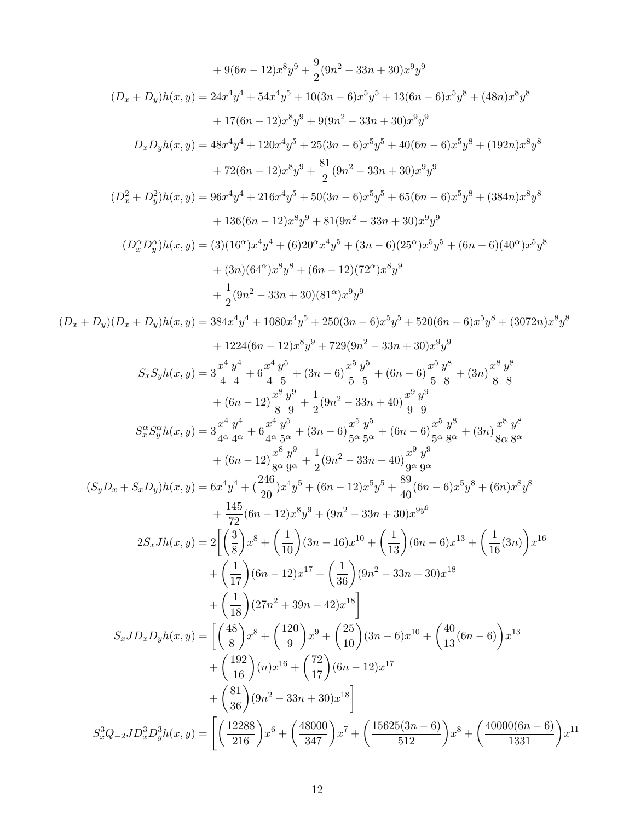$$
+9(6n-12)x^{8}y^{9} + \frac{9}{2}(9n^{2} - 33n + 30)x^{9}y^{9}
$$
\n
$$
(D_{x} + D_{y})h(x, y) = 24x^{4}y^{4} + 54x^{4}y^{5} + 10(3n - 6)x^{5}y^{5} + 13(6n - 6)x^{5}y^{8} + (48n)x^{8}y^{8}
$$
\n
$$
+17(6n - 12)x^{8}y^{9} + 9(9n^{2} - 33n + 30)x^{9}y^{9}
$$
\n
$$
D_{x}D_{y}h(x, y) = 48x^{4}y^{4} + 120x^{4}y^{5} + 25(3n - 6)x^{5}y^{5} + 40(6n - 6)x^{5}y^{8} + (192n)x^{8}y^{8}
$$
\n
$$
+72(6n - 12)x^{8}y^{9} + \frac{51}{2}(9n^{2} - 33n + 30)x^{9}y^{9}
$$
\n
$$
(D_{x}^{2} + D_{y}^{2})h(x, y) = 96x^{4}y^{4} + 216x^{4}y^{5} + 50(3n - 6)x^{5}y^{5} + 65(6n - 6)x^{5}y^{8} + (384n)x^{8}y^{8}
$$
\n
$$
+ 136(6n - 12)x^{8}y^{9} + 81(9n^{2} - 33n + 30)x^{9}y^{9}
$$
\n
$$
(D_{x}^{o}D_{y}^{o})h(x, y) = (3)(16^{o\prime})x^{4}y^{4} + (6)20^{o\cdot}x^{4}y^{5} + (3n - 6)(25^{o\prime})x^{6}y^{5} + (6n - 6)(40^{o\prime})x^{5}y^{8}
$$
\n
$$
+ 136(n - 12)x^{8}y^{9} + 54(9n^{2} - 33n + 30)(81^{o\prime})x^{9}y^{9}
$$
\n
$$
L_{y}^{2}D_{y}^{o})(h(x, y) = (3)(16^{o\prime})x^{4}y^{4} + (6)20^{o\cdot}x^{4}y^{5} + (3n - 6)(2
$$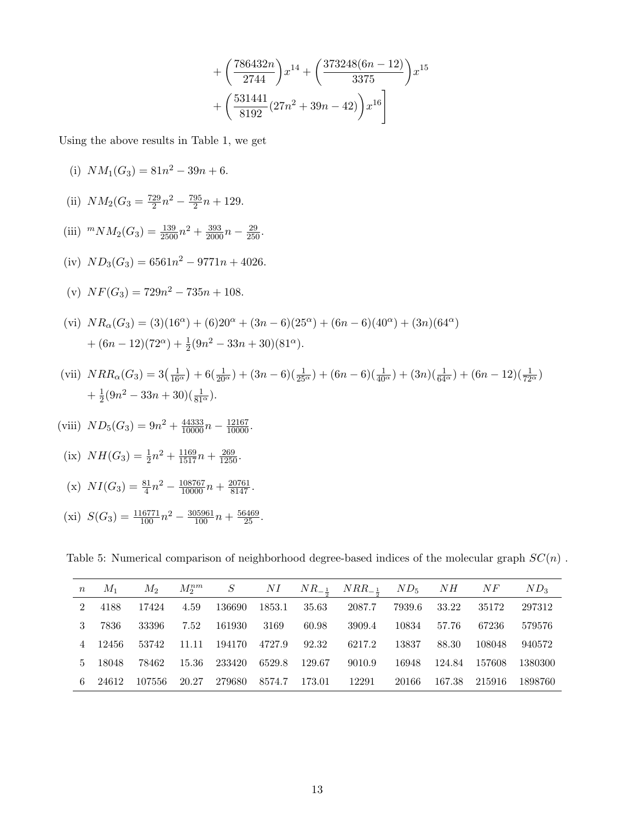$$
+\left(\frac{786432n}{2744}\right)x^{14}+\left(\frac{373248(6n-12)}{3375}\right)x^{15} + \left(\frac{531441}{8192}(27n^2+39n-42)\right)x^{16}
$$

Using the above results in Table 1, we get

(i) 
$$
NM_1(G_3) = 81n^2 - 39n + 6.
$$

(ii) 
$$
NM_2(G_3 = \frac{729}{2}n^2 - \frac{795}{2}n + 129.
$$

(iii) 
$$
{}^mNM_2(G_3) = \frac{139}{2500}n^2 + \frac{393}{2000}n - \frac{29}{250}.
$$

(iv) 
$$
ND_3(G_3) = 6561n^2 - 9771n + 4026.
$$

(v) 
$$
NF(G_3) = 729n^2 - 735n + 108.
$$

(vi) 
$$
NR_{\alpha}(G_3) = (3)(16^{\alpha}) + (6)20^{\alpha} + (3n - 6)(25^{\alpha}) + (6n - 6)(40^{\alpha}) + (3n)(64^{\alpha})
$$
  
  $+ (6n - 12)(72^{\alpha}) + \frac{1}{2}(9n^2 - 33n + 30)(81^{\alpha}).$ 

(vii) 
$$
NRR_{\alpha}(G_3) = 3(\frac{1}{16^{\alpha}}) + 6(\frac{1}{20^{\alpha}}) + (3n - 6)(\frac{1}{25^{\alpha}}) + (6n - 6)(\frac{1}{40^{\alpha}}) + (3n)(\frac{1}{64^{\alpha}}) + (6n - 12)(\frac{1}{72^{\alpha}}) + \frac{1}{2}(9n^2 - 33n + 30)(\frac{1}{81^{\alpha}}).
$$

(viii) 
$$
ND_5(G_3) = 9n^2 + \frac{44333}{10000}n - \frac{12167}{10000}
$$
.

(ix) 
$$
NH(G_3) = \frac{1}{2}n^2 + \frac{1169}{1517}n + \frac{269}{1250}
$$
.

(x) 
$$
NI(G_3) = \frac{81}{4}n^2 - \frac{108767}{10000}n + \frac{20761}{8147}
$$
.

(xi) 
$$
S(G_3) = \frac{116771}{100}n^2 - \frac{305961}{100}n + \frac{56469}{25}
$$
.

Table 5: Numerical comparison of neighborhood degree-based indices of the molecular graph  $SC(n)$ .

| $\boldsymbol{n}$ | $M_1$   | $M_2$  |       |        |              |        | $M_2^{nm}$ S NI $NR_{-\frac{1}{2}}$ $NRR_{-\frac{1}{2}}$ $ND_5$ $NH$ $NF$ |        |        |        | $ND_3$   |
|------------------|---------|--------|-------|--------|--------------|--------|---------------------------------------------------------------------------|--------|--------|--------|----------|
| 2                | 4188    | 17424  | 4.59  | 136690 | 1853.1 35.63 |        | 2087.7                                                                    | 7939.6 | 33.22  | 35172  | 297312   |
| $\mathbf{3}$     | 7836    | 33396  | 7.52  | 161930 | 3169         | 60.98  | 3909.4                                                                    | 10834  | 57.76  | 67236  | 579576   |
|                  | 4 12456 | 53742  | 11.11 | 194170 | 4727.9       | 92.32  | 6217.2                                                                    | 13837  | 88.30  | 108048 | 940572   |
| $5 -$            | - 18048 | 78462  | 15.36 | 233420 | 6529.8       | 129.67 | 9010.9                                                                    | 16948  | 124.84 | 157608 | -1380300 |
| 6.               | 24612   | 107556 | 20.27 | 279680 | 8574.7       | 173.01 | 12291                                                                     | 20166  | 167.38 | 215916 | -1898760 |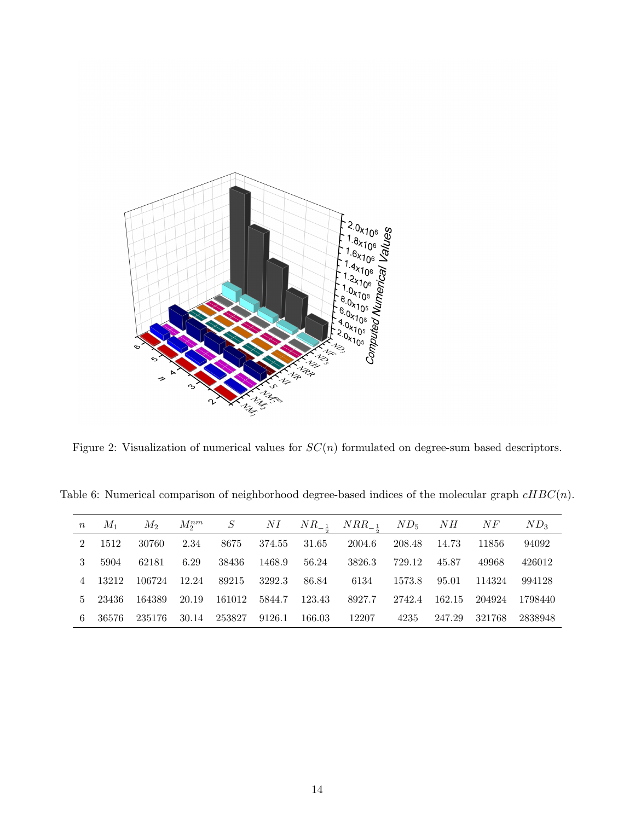

Figure 2: Visualization of numerical values for  $SC(n)$  formulated on degree-sum based descriptors.

Table 6: Numerical comparison of neighborhood degree-based indices of the molecular graph  $cHBC(n)$ .

| $\, n$ | $M_1$  | $M_2$  | $M_2^{nm}$ |        | $S$ $NI$ |        | $NR_{-1}$ $NRR_{-1}$ $ND_5$ |        | NH     | NF     | $ND_3$  |
|--------|--------|--------|------------|--------|----------|--------|-----------------------------|--------|--------|--------|---------|
| 2      | 1512   | 30760  | 2.34       | 8675   | 374.55   | 31.65  | 2004.6                      | 208.48 | 14.73  | 11856  | 94092   |
| 3      | 5904   | 62181  | 6.29       | 38436  | 1468.9   | 56.24  | 3826.3                      | 729.12 | 45.87  | 49968  | 426012  |
|        | 13212  | 106724 | 12.24      | 89215  | 3292.3   | 86.84  | 6134                        | 1573.8 | 95.01  | 114324 | 994128  |
| $5 -$  | -23436 | 164389 | 20.19      | 161012 | 5844.7   | 123.43 | 8927.7                      | 2742.4 | 162.15 | 204924 | 1798440 |
| 6.     | 36576  | 235176 | 30.14      | 253827 | 9126.1   | 166.03 | 12207                       | 4235   | 247.29 | 321768 | 2838948 |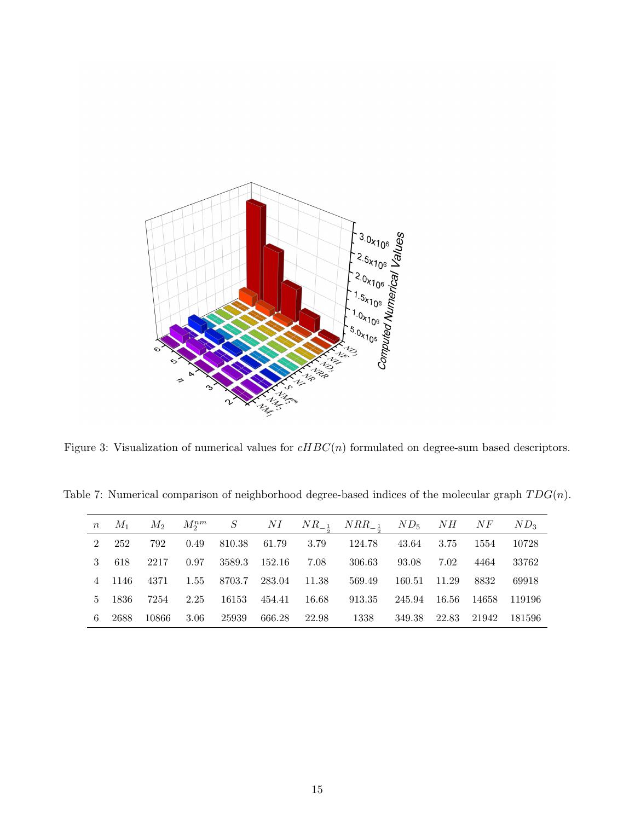

Figure 3: Visualization of numerical values for  $cHBC(n)$  formulated on degree-sum based descriptors.

Table 7: Numerical comparison of neighborhood degree-based indices of the molecular graph  $TDG(n)$ .

| $\,n$ | $M_1$  | $M_2$ |      |             |               |         | $M_2^{nm}$ S NI $NR_{-\frac{1}{2}}$ $NRR_{-\frac{1}{2}}$ $ND_5$ $NH$ $NF$ |        |           |         | $ND_3$   |
|-------|--------|-------|------|-------------|---------------|---------|---------------------------------------------------------------------------|--------|-----------|---------|----------|
|       | 2 252  | 792   | 0.49 | 810.38      | 61.79         | 3.79    | - 124.78                                                                  | 43.64  | 3.75      | 1554    | 10728    |
|       | 3 618  | 2217  | 0.97 |             | 3589.3 152.16 | 7.08    | 306.63                                                                    | 93.08  | 7.02      | 4464    | 33762    |
|       | 4 1146 | 4371  |      | 1.55 8703.7 | 283.04 11.38  |         | 569.49                                                                    | 160.51 | 11.29     | 8832    | 69918    |
|       | 5 1836 | 7254  | 2.25 | 16153       | 454.41        | - 16.68 | 913.35                                                                    | 245.94 | - 16.56 - | - 14658 | - 119196 |
| 6.    | 2688   | 10866 | 3.06 | 25939       | 666.28        | 22.98   | 1338                                                                      | 349.38 | 22.83     | 21942   | 181596   |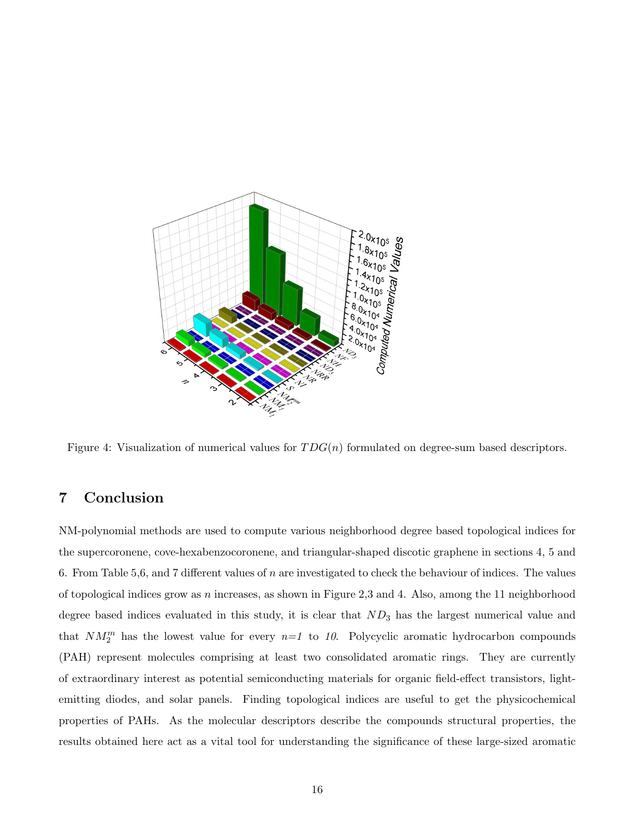

Figure 4: Visualization of numerical values for  $TDG(n)$  formulated on degree-sum based descriptors.

## 7 Conclusion

NM-polynomial methods are used to compute various neighborhood degree based topological indices for the supercoronene, cove-hexabenzocoronene, and triangular-shaped discotic graphene in sections 4, 5 and 6. From Table 5,6, and 7 different values of n are investigated to check the behaviour of indices. The values of topological indices grow as n increases, as shown in Figure 2,3 and 4. Also, among the 11 neighborhood degree based indices evaluated in this study, it is clear that  $ND_3$  has the largest numerical value and that  $NM_2^m$  has the lowest value for every  $n=1$  to 10. Polycyclic aromatic hydrocarbon compounds (PAH) represent molecules comprising at least two consolidated aromatic rings. They are currently of extraordinary interest as potential semiconducting materials for organic field-effect transistors, lightemitting diodes, and solar panels. Finding topological indices are useful to get the physicochemical properties of PAHs. As the molecular descriptors describe the compounds structural properties, the results obtained here act as a vital tool for understanding the significance of these large-sized aromatic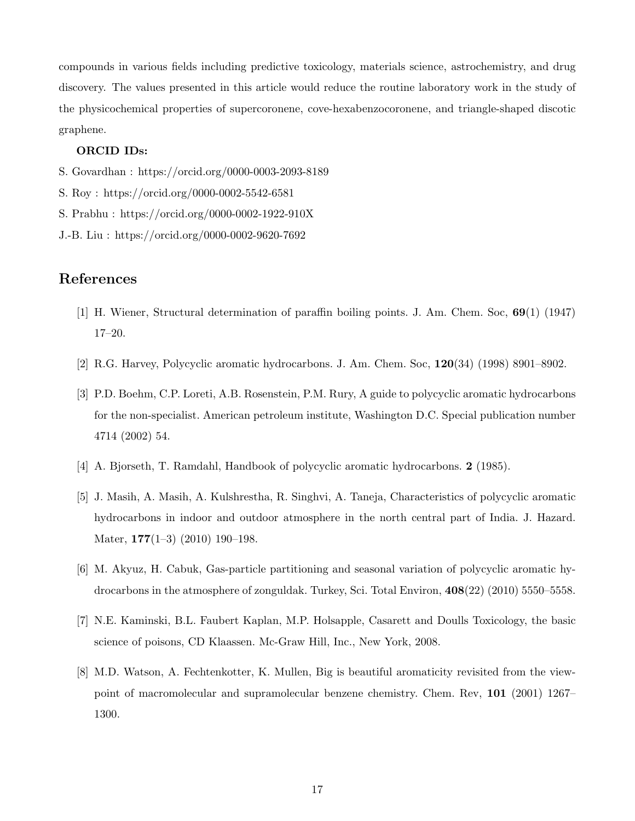compounds in various fields including predictive toxicology, materials science, astrochemistry, and drug discovery. The values presented in this article would reduce the routine laboratory work in the study of the physicochemical properties of supercoronene, cove-hexabenzocoronene, and triangle-shaped discotic graphene.

#### ORCID IDs:

- S. Govardhan : https://orcid.org/0000-0003-2093-8189
- S. Roy : https://orcid.org/0000-0002-5542-6581
- S. Prabhu : https://orcid.org/0000-0002-1922-910X
- J.-B. Liu : https://orcid.org/0000-0002-9620-7692

#### References

- [1] H. Wiener, Structural determination of paraffin boiling points. J. Am. Chem. Soc, 69(1) (1947) 17–20.
- [2] R.G. Harvey, Polycyclic aromatic hydrocarbons. J. Am. Chem. Soc, 120(34) (1998) 8901–8902.
- [3] P.D. Boehm, C.P. Loreti, A.B. Rosenstein, P.M. Rury, A guide to polycyclic aromatic hydrocarbons for the non-specialist. American petroleum institute, Washington D.C. Special publication number 4714 (2002) 54.
- [4] A. Bjorseth, T. Ramdahl, Handbook of polycyclic aromatic hydrocarbons. 2 (1985).
- [5] J. Masih, A. Masih, A. Kulshrestha, R. Singhvi, A. Taneja, Characteristics of polycyclic aromatic hydrocarbons in indoor and outdoor atmosphere in the north central part of India. J. Hazard. Mater, 177(1–3) (2010) 190–198.
- [6] M. Akyuz, H. Cabuk, Gas-particle partitioning and seasonal variation of polycyclic aromatic hydrocarbons in the atmosphere of zonguldak. Turkey, Sci. Total Environ, 408(22) (2010) 5550–5558.
- [7] N.E. Kaminski, B.L. Faubert Kaplan, M.P. Holsapple, Casarett and Doulls Toxicology, the basic science of poisons, CD Klaassen. Mc-Graw Hill, Inc., New York, 2008.
- [8] M.D. Watson, A. Fechtenkotter, K. Mullen, Big is beautiful aromaticity revisited from the viewpoint of macromolecular and supramolecular benzene chemistry. Chem. Rev, 101 (2001) 1267– 1300.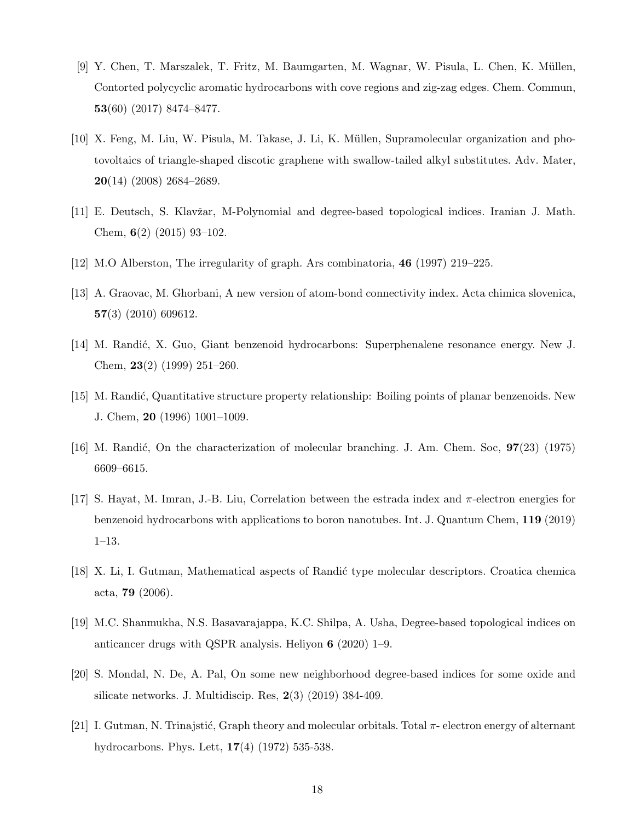- [9] Y. Chen, T. Marszalek, T. Fritz, M. Baumgarten, M. Wagnar, W. Pisula, L. Chen, K. M¨ullen, Contorted polycyclic aromatic hydrocarbons with cove regions and zig-zag edges. Chem. Commun, 53(60) (2017) 8474–8477.
- [10] X. Feng, M. Liu, W. Pisula, M. Takase, J. Li, K. M¨ullen, Supramolecular organization and photovoltaics of triangle-shaped discotic graphene with swallow-tailed alkyl substitutes. Adv. Mater, 20(14) (2008) 2684–2689.
- [11] E. Deutsch, S. Klavžar, M-Polynomial and degree-based topological indices. Iranian J. Math. Chem, 6(2) (2015) 93–102.
- [12] M.O Alberston, The irregularity of graph. Ars combinatoria, 46 (1997) 219–225.
- [13] A. Graovac, M. Ghorbani, A new version of atom-bond connectivity index. Acta chimica slovenica, 57(3) (2010) 609612.
- [14] M. Randić, X. Guo, Giant benzenoid hydrocarbons: Superphenalene resonance energy. New J. Chem, 23(2) (1999) 251–260.
- [15] M. Randić, Quantitative structure property relationship: Boiling points of planar benzenoids. New J. Chem, 20 (1996) 1001–1009.
- [16] M. Randić, On the characterization of molecular branching. J. Am. Chem. Soc,  $97(23)$  (1975) 6609–6615.
- [17] S. Hayat, M. Imran, J.-B. Liu, Correlation between the estrada index and π-electron energies for benzenoid hydrocarbons with applications to boron nanotubes. Int. J. Quantum Chem, 119 (2019) 1–13.
- [18] X. Li, I. Gutman, Mathematical aspects of Randić type molecular descriptors. Croatica chemica acta, 79 (2006).
- [19] M.C. Shanmukha, N.S. Basavarajappa, K.C. Shilpa, A. Usha, Degree-based topological indices on anticancer drugs with QSPR analysis. Heliyon 6 (2020) 1–9.
- [20] S. Mondal, N. De, A. Pal, On some new neighborhood degree-based indices for some oxide and silicate networks. J. Multidiscip. Res, 2(3) (2019) 384-409.
- [21] I. Gutman, N. Trinajstić, Graph theory and molecular orbitals. Total  $\pi$  electron energy of alternant hydrocarbons. Phys. Lett, 17(4) (1972) 535-538.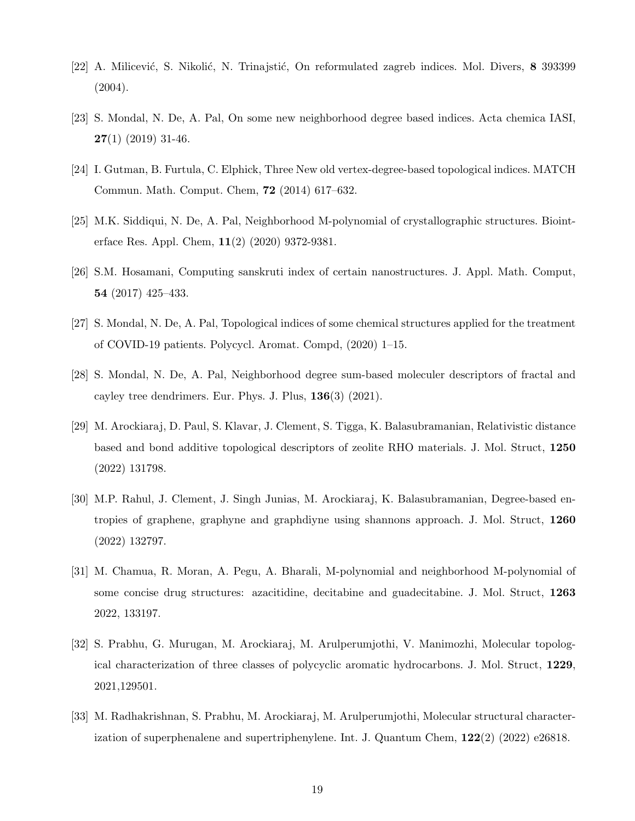- [22] A. Milicević, S. Nikolić, N. Trinajstić, On reformulated zagreb indices. Mol. Divers, 8 393399 (2004).
- [23] S. Mondal, N. De, A. Pal, On some new neighborhood degree based indices. Acta chemica IASI,  $27(1)$  (2019) 31-46.
- [24] I. Gutman, B. Furtula, C. Elphick, Three New old vertex-degree-based topological indices. MATCH Commun. Math. Comput. Chem, 72 (2014) 617–632.
- [25] M.K. Siddiqui, N. De, A. Pal, Neighborhood M-polynomial of crystallographic structures. Biointerface Res. Appl. Chem, 11(2) (2020) 9372-9381.
- [26] S.M. Hosamani, Computing sanskruti index of certain nanostructures. J. Appl. Math. Comput, 54 (2017) 425–433.
- [27] S. Mondal, N. De, A. Pal, Topological indices of some chemical structures applied for the treatment of COVID-19 patients. Polycycl. Aromat. Compd, (2020) 1–15.
- [28] S. Mondal, N. De, A. Pal, Neighborhood degree sum-based moleculer descriptors of fractal and cayley tree dendrimers. Eur. Phys. J. Plus, 136(3) (2021).
- [29] M. Arockiaraj, D. Paul, S. Klavar, J. Clement, S. Tigga, K. Balasubramanian, Relativistic distance based and bond additive topological descriptors of zeolite RHO materials. J. Mol. Struct, 1250 (2022) 131798.
- [30] M.P. Rahul, J. Clement, J. Singh Junias, M. Arockiaraj, K. Balasubramanian, Degree-based entropies of graphene, graphyne and graphdiyne using shannons approach. J. Mol. Struct, 1260 (2022) 132797.
- [31] M. Chamua, R. Moran, A. Pegu, A. Bharali, M-polynomial and neighborhood M-polynomial of some concise drug structures: azacitidine, decitabine and guadecitabine. J. Mol. Struct, 1263 2022, 133197.
- [32] S. Prabhu, G. Murugan, M. Arockiaraj, M. Arulperumjothi, V. Manimozhi, Molecular topological characterization of three classes of polycyclic aromatic hydrocarbons. J. Mol. Struct, 1229, 2021,129501.
- [33] M. Radhakrishnan, S. Prabhu, M. Arockiaraj, M. Arulperumjothi, Molecular structural characterization of superphenalene and supertriphenylene. Int. J. Quantum Chem,  $122(2)$  (2022) e26818.